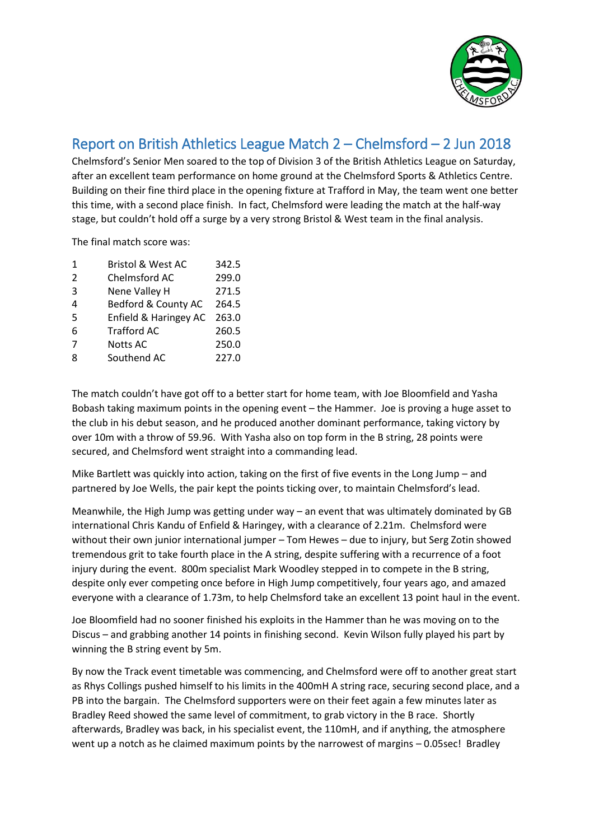

## Report on British Athletics League Match 2 – Chelmsford – 2 Jun 2018

Chelmsford's Senior Men soared to the top of Division 3 of the British Athletics League on Saturday, after an excellent team performance on home ground at the Chelmsford Sports & Athletics Centre. Building on their fine third place in the opening fixture at Trafford in May, the team went one better this time, with a second place finish. In fact, Chelmsford were leading the match at the half-way stage, but couldn't hold off a surge by a very strong Bristol & West team in the final analysis.

The final match score was:

| 1             | <b>Bristol &amp; West AC</b> | 342.5 |
|---------------|------------------------------|-------|
| $\mathcal{P}$ | Chelmsford AC                | 299.0 |
| 3             | Nene Valley H                | 271.5 |
| 4             | Bedford & County AC          | 264.5 |
| 5             | Enfield & Haringey AC        | 263.0 |
| 6             | <b>Trafford AC</b>           | 260.5 |
| 7             | <b>Notts AC</b>              | 250.0 |
| 8             | Southend AC                  | 227.0 |
|               |                              |       |

The match couldn't have got off to a better start for home team, with Joe Bloomfield and Yasha Bobash taking maximum points in the opening event – the Hammer. Joe is proving a huge asset to the club in his debut season, and he produced another dominant performance, taking victory by over 10m with a throw of 59.96. With Yasha also on top form in the B string, 28 points were secured, and Chelmsford went straight into a commanding lead.

Mike Bartlett was quickly into action, taking on the first of five events in the Long Jump – and partnered by Joe Wells, the pair kept the points ticking over, to maintain Chelmsford's lead.

Meanwhile, the High Jump was getting under way – an event that was ultimately dominated by GB international Chris Kandu of Enfield & Haringey, with a clearance of 2.21m. Chelmsford were without their own junior international jumper – Tom Hewes – due to injury, but Serg Zotin showed tremendous grit to take fourth place in the A string, despite suffering with a recurrence of a foot injury during the event. 800m specialist Mark Woodley stepped in to compete in the B string, despite only ever competing once before in High Jump competitively, four years ago, and amazed everyone with a clearance of 1.73m, to help Chelmsford take an excellent 13 point haul in the event.

Joe Bloomfield had no sooner finished his exploits in the Hammer than he was moving on to the Discus – and grabbing another 14 points in finishing second. Kevin Wilson fully played his part by winning the B string event by 5m.

By now the Track event timetable was commencing, and Chelmsford were off to another great start as Rhys Collings pushed himself to his limits in the 400mH A string race, securing second place, and a PB into the bargain. The Chelmsford supporters were on their feet again a few minutes later as Bradley Reed showed the same level of commitment, to grab victory in the B race. Shortly afterwards, Bradley was back, in his specialist event, the 110mH, and if anything, the atmosphere went up a notch as he claimed maximum points by the narrowest of margins – 0.05sec! Bradley